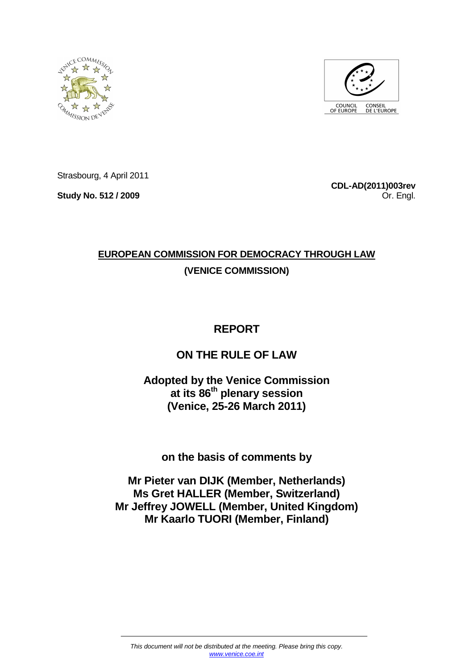



Strasbourg, 4 April 2011

**Study No. 512 / 2009** 

**CDL-AD(2011)003rev** Or. Engl.

# **EUROPEAN COMMISSION FOR DEMOCRACY THROUGH LAW (VENICE COMMISSION)**

# **REPORT**

# **ON THE RULE OF LAW**

# **Adopted by the Venice Commission at its 86th plenary session (Venice, 25-26 March 2011)**

**on the basis of comments by** 

**Mr Pieter van DIJK (Member, Netherlands) Ms Gret HALLER (Member, Switzerland) Mr Jeffrey JOWELL (Member, United Kingdom) Mr Kaarlo TUORI (Member, Finland)**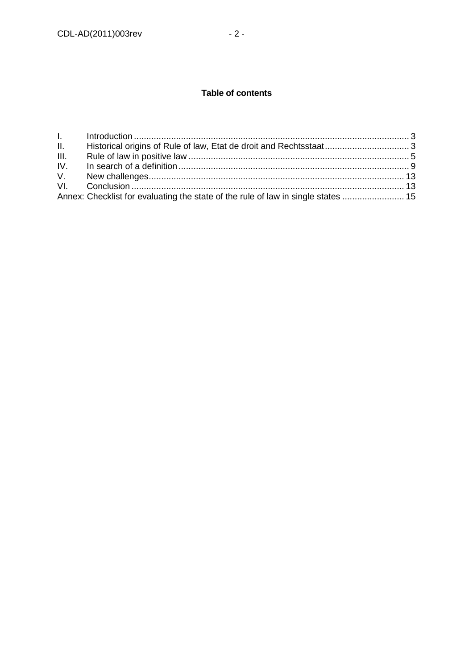# **Table of contents**

| III. |  |
|------|--|
|      |  |
|      |  |
|      |  |
|      |  |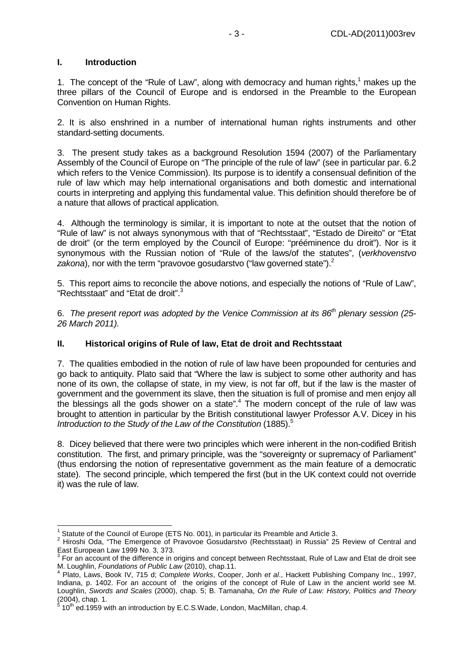#### **I. Introduction**

1. The concept of the "Rule of Law", along with democracy and human rights, $1$  makes up the three pillars of the Council of Europe and is endorsed in the Preamble to the European Convention on Human Rights.

2. It is also enshrined in a number of international human rights instruments and other standard-setting documents.

3. The present study takes as a background Resolution 1594 (2007) of the Parliamentary Assembly of the Council of Europe on "The principle of the rule of law" (see in particular par. 6.2 which refers to the Venice Commission). Its purpose is to identify a consensual definition of the rule of law which may help international organisations and both domestic and international courts in interpreting and applying this fundamental value. This definition should therefore be of a nature that allows of practical application.

4. Although the terminology is similar, it is important to note at the outset that the notion of "Rule of law" is not always synonymous with that of "Rechtsstaat", "Estado de Direito" or "Etat de droit" (or the term employed by the Council of Europe: "prééminence du droit"). Nor is it synonymous with the Russian notion of "Rule of the laws/of the statutes", (verkhovenstvo zakona), nor with the term "pravovoe gosudarstvo ("law governed state"). $^2$ 

5. This report aims to reconcile the above notions, and especially the notions of "Rule of Law", "Rechtsstaat" and "Etat de droit".<sup>3</sup>

6. The present report was adopted by the Venice Commission at its  $86<sup>th</sup>$  plenary session (25-26 March 2011).

#### **II. Historical origins of Rule of law, Etat de droit and Rechtsstaat**

7. The qualities embodied in the notion of rule of law have been propounded for centuries and go back to antiquity. Plato said that "Where the law is subject to some other authority and has none of its own, the collapse of state, in my view, is not far off, but if the law is the master of government and the government its slave, then the situation is full of promise and men enjoy all the blessings all the gods shower on a state". $4$  The modern concept of the rule of law was brought to attention in particular by the British constitutional lawyer Professor A.V. Dicey in his Introduction to the Study of the Law of the Constitution (1885).<sup>5</sup>

8. Dicey believed that there were two principles which were inherent in the non-codified British constitution. The first, and primary principle, was the "sovereignty or supremacy of Parliament" (thus endorsing the notion of representative government as the main feature of a democratic state). The second principle, which tempered the first (but in the UK context could not override it) was the rule of law.

<sup>1</sup> Statute of the Council of Europe (ETS No. 001), in particular its Preamble and Article 3.

<sup>&</sup>lt;sup>2</sup> Hiroshi Oda, "The Emergence of Pravovoe Gosudarstvo (Rechtsstaat) in Russia" 25 Review of Central and East European Law 1999 No. 3, 373.<br><sup>3</sup> Earlen account of the difference in a

For an account of the difference in origins and concept between Rechtsstaat, Rule of Law and Etat de droit see

M. Loughlin, *Foundations of Public Law* (2010), chap.11.<br><sup>4</sup> Plato, Laws, Book IV, 715 d; *Complete Works*, Cooper, Jonh *et al.*, Hackett Publishing Company Inc., 1997, Indiana, p. 1402. For an account of the origins of the concept of Rule of Law in the ancient world see M. Loughlin, Swords and Scales (2000), chap. 5; B. Tamanaha, On the Rule of Law: History, Politics and Theory  $(2004)$ , chap. 1.

<sup>10&</sup>lt;sup>th</sup> ed.1959 with an introduction by E.C.S.Wade, London, MacMillan, chap.4.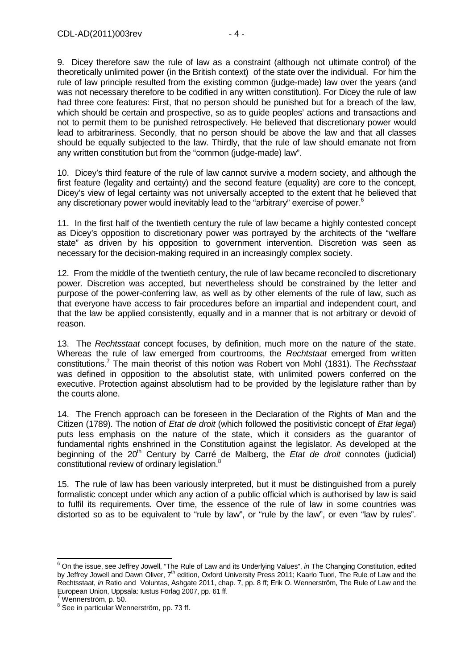9. Dicey therefore saw the rule of law as a constraint (although not ultimate control) of the theoretically unlimited power (in the British context) of the state over the individual. For him the rule of law principle resulted from the existing common (judge-made) law over the years (and was not necessary therefore to be codified in any written constitution). For Dicey the rule of law had three core features: First, that no person should be punished but for a breach of the law, which should be certain and prospective, so as to guide peoples' actions and transactions and not to permit them to be punished retrospectively. He believed that discretionary power would lead to arbitrariness. Secondly, that no person should be above the law and that all classes should be equally subjected to the law. Thirdly, that the rule of law should emanate not from any written constitution but from the "common (judge-made) law".

10. Dicey's third feature of the rule of law cannot survive a modern society, and although the first feature (legality and certainty) and the second feature (equality) are core to the concept, Dicey's view of legal certainty was not universally accepted to the extent that he believed that any discretionary power would inevitably lead to the "arbitrary" exercise of power.<sup>6</sup>

11. In the first half of the twentieth century the rule of law became a highly contested concept as Dicey's opposition to discretionary power was portrayed by the architects of the "welfare state" as driven by his opposition to government intervention. Discretion was seen as necessary for the decision-making required in an increasingly complex society.

12. From the middle of the twentieth century, the rule of law became reconciled to discretionary power. Discretion was accepted, but nevertheless should be constrained by the letter and purpose of the power-conferring law, as well as by other elements of the rule of law, such as that everyone have access to fair procedures before an impartial and independent court, and that the law be applied consistently, equally and in a manner that is not arbitrary or devoid of reason.

13. The Rechtsstaat concept focuses, by definition, much more on the nature of the state. Whereas the rule of law emerged from courtrooms, the Rechtstaat emerged from written constitutions.<sup>7</sup> The main theorist of this notion was Robert von Mohl (1831). The Rechsstaat was defined in opposition to the absolutist state, with unlimited powers conferred on the executive. Protection against absolutism had to be provided by the legislature rather than by the courts alone.

14. The French approach can be foreseen in the Declaration of the Rights of Man and the Citizen (1789). The notion of *Etat de droit* (which followed the positivistic concept of *Etat legal*) puts less emphasis on the nature of the state, which it considers as the guarantor of fundamental rights enshrined in the Constitution against the legislator. As developed at the beginning of the  $20<sup>th</sup>$  Century by Carré de Malberg, the *Etat de droit* connotes (judicial) constitutional review of ordinary legislation.<sup>8</sup>

15. The rule of law has been variously interpreted, but it must be distinguished from a purely formalistic concept under which any action of a public official which is authorised by law is said to fulfil its requirements. Over time, the essence of the rule of law in some countries was distorted so as to be equivalent to "rule by law", or "rule by the law", or even "law by rules".

end on the issue, see Jeffrey Jowell, "The Rule of Law and its Underlying Values", *in* The Changing Constitution, edited <sup>6</sup> On the issue, see Jeffrey Jowell, "The Rule of Law and its Underlying Values", *in* The Changing by Jeffrey Jowell and Dawn Oliver, 7<sup>th</sup> edition, Oxford University Press 2011; Kaarlo Tuori, The Rule of Law and the Rechtsstaat, in Ratio and Voluntas, Ashgate 2011, chap. 7, pp. 8 ff; Erik O. Wennerström, The Rule of Law and the European Union, Uppsala: Iustus Förlag 2007, pp. 61 ff.<br><sup>7</sup> Wennersträm, p. 50

Wennerström, p. 50.

<sup>&</sup>lt;sup>8</sup> See in particular Wennerström, pp. 73 ff.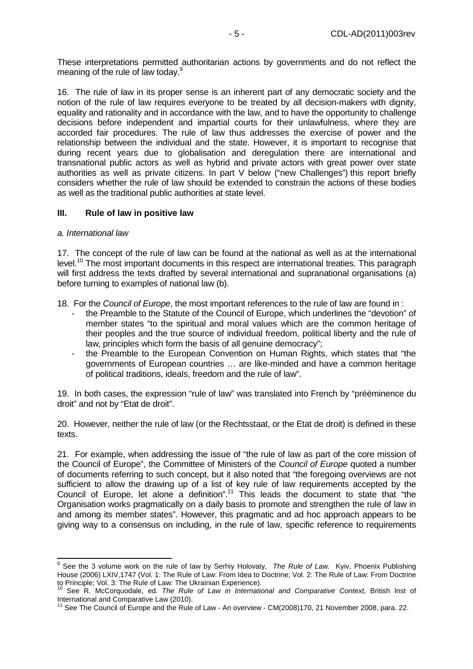These interpretations permitted authoritarian actions by governments and do not reflect the meaning of the rule of law today.<sup>9</sup>

16. The rule of law in its proper sense is an inherent part of any democratic society and the notion of the rule of law requires everyone to be treated by all decision-makers with dignity, equality and rationality and in accordance with the law, and to have the opportunity to challenge decisions before independent and impartial courts for their unlawfulness, where they are accorded fair procedures. The rule of law thus addresses the exercise of power and the relationship between the individual and the state. However, it is important to recognise that during recent years due to globalisation and deregulation there are international and transnational public actors as well as hybrid and private actors with great power over state authorities as well as private citizens. In part V below ("new Challenges") this report briefly considers whether the rule of law should be extended to constrain the actions of these bodies as well as the traditional public authorities at state level.

#### **III. Rule of law in positive law**

#### a. International law

17. The concept of the rule of law can be found at the national as well as at the international level.<sup>10</sup> The most important documents in this respect are international treaties. This paragraph will first address the texts drafted by several international and supranational organisations (a) before turning to examples of national law (b).

18. For the Council of Europe, the most important references to the rule of law are found in:

- the Preamble to the Statute of the Council of Europe, which underlines the "devotion" of member states "to the spiritual and moral values which are the common heritage of their peoples and the true source of individual freedom, political liberty and the rule of law, principles which form the basis of all genuine democracy";
- the Preamble to the European Convention on Human Rights, which states that "the governments of European countries … are like-minded and have a common heritage of political traditions, ideals, freedom and the rule of law".

19. In both cases, the expression "rule of law" was translated into French by "prééminence du droit" and not by "Etat de droit".

20. However, neither the rule of law (or the Rechtsstaat, or the Etat de droit) is defined in these texts.

21. For example, when addressing the issue of "the rule of law as part of the core mission of the Council of Europe", the Committee of Ministers of the Council of Europe quoted a number of documents referring to such concept, but it also noted that "the foregoing overviews are not sufficient to allow the drawing up of a list of key rule of law requirements accepted by the Council of Europe, let alone a definition".<sup>11</sup> This leads the document to state that "the Organisation works pragmatically on a daily basis to promote and strengthen the rule of law in and among its member states". However, this pragmatic and ad hoc approach appears to be giving way to a consensus on including, in the rule of law, specific reference to requirements

**EXECUTE:**<br><sup>9</sup> See the 3 volume work on the rule of law by Serhiy Holovaty, The Rule of Law. Kyiv, Phoenix Publishing House (2006) LXIV,1747 (Vol. 1: The Rule of Law: From Idea to Doctrine; Vol. 2: The Rule of Law: From Doctrine to Principle; Vol. 3: The Rule of Law: The Ukrainian Experience).

See R. McCorquodale, ed. The Rule of Law in International and Comparative Context, British Inst of International and Comparative Law (2010).

 $11$  See The Council of Europe and the Rule of Law - An overview - CM(2008)170, 21 November 2008, para. 22.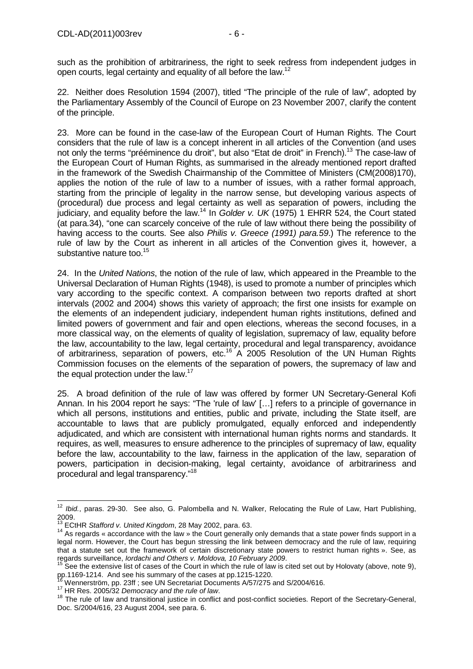such as the prohibition of arbitrariness, the right to seek redress from independent judges in open courts, legal certainty and equality of all before the law.<sup>12</sup>

22. Neither does Resolution 1594 (2007), titled "The principle of the rule of law", adopted by the Parliamentary Assembly of the Council of Europe on 23 November 2007, clarify the content of the principle.

23. More can be found in the case-law of the European Court of Human Rights. The Court considers that the rule of law is a concept inherent in all articles of the Convention (and uses not only the terms "prééminence du droit", but also "Etat de droit" in French).<sup>13</sup> The case-law of the European Court of Human Rights, as summarised in the already mentioned report drafted in the framework of the Swedish Chairmanship of the Committee of Ministers (CM(2008)170), applies the notion of the rule of law to a number of issues, with a rather formal approach, starting from the principle of legality in the narrow sense, but developing various aspects of (procedural) due process and legal certainty as well as separation of powers, including the judiciary, and equality before the law.<sup>14</sup> In Golder v. UK (1975) 1 EHRR 524, the Court stated (at para.34), "one can scarcely conceive of the rule of law without there being the possibility of having access to the courts. See also *Philis v. Greece (1991) para.59.*) The reference to the rule of law by the Court as inherent in all articles of the Convention gives it, however, a substantive nature too.<sup>15</sup>

24. In the United Nations, the notion of the rule of law, which appeared in the Preamble to the Universal Declaration of Human Rights (1948), is used to promote a number of principles which vary according to the specific context. A comparison between two reports drafted at short intervals (2002 and 2004) shows this variety of approach; the first one insists for example on the elements of an independent judiciary, independent human rights institutions, defined and limited powers of government and fair and open elections, whereas the second focuses, in a more classical way, on the elements of quality of legislation, supremacy of law, equality before the law, accountability to the law, legal certainty, procedural and legal transparency, avoidance of arbitrariness, separation of powers, etc.<sup>16</sup> A 2005 Resolution of the UN Human Rights Commission focuses on the elements of the separation of powers, the supremacy of law and the equal protection under the law. $17$ 

25. A broad definition of the rule of law was offered by former UN Secretary-General Kofi Annan. In his 2004 report he says: "The 'rule of law' […] refers to a principle of governance in which all persons, institutions and entities, public and private, including the State itself, are accountable to laws that are publicly promulgated, equally enforced and independently adjudicated, and which are consistent with international human rights norms and standards. It requires, as well, measures to ensure adherence to the principles of supremacy of law, equality before the law, accountability to the law, fairness in the application of the law, separation of powers, participation in decision-making, legal certainty, avoidance of arbitrariness and procedural and legal transparency."<sup>18</sup>

  $12$  Ibid., paras. 29-30. See also, G. Palombella and N. Walker, Relocating the Rule of Law, Hart Publishing, 2009.

 $13$  ECtHR Stafford v. United Kingdom, 28 May 2002, para. 63.

<sup>&</sup>lt;sup>14</sup> As regards « accordance with the law » the Court generally only demands that a state power finds support in a legal norm. However, the Court has begun stressing the link between democracy and the rule of law, requiring that a statute set out the framework of certain discretionary state powers to restrict human rights ». See, as regards surveillance, Iordachi and Others v. Moldova, 10 February 2009.

 $15$  See the extensive list of cases of the Court in which the rule of law is cited set out by Holovaty (above, note 9), pp.1169-1214. And see his summary of the cases at pp.1215-1220.

Wennerström, pp. 23ff ; see UN Secretariat Documents A/57/275 and S/2004/616.

<sup>&</sup>lt;sup>17</sup> HR Res. 2005/32 Democracy and the rule of law.

<sup>&</sup>lt;sup>18</sup> The rule of law and transitional justice in conflict and post-conflict societies. Report of the Secretary-General, Doc. S/2004/616, 23 August 2004, see para. 6.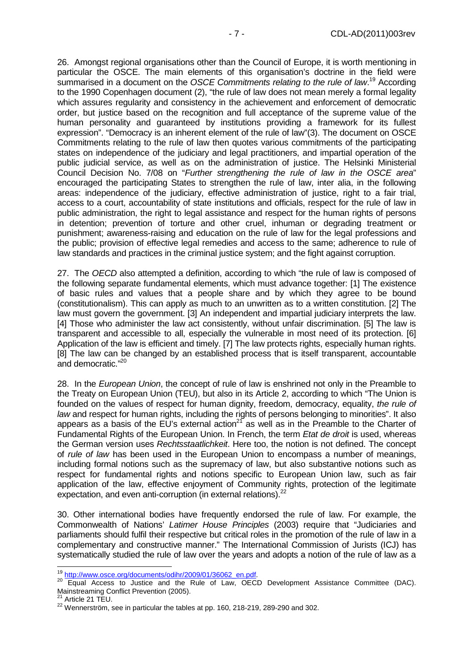26. Amongst regional organisations other than the Council of Europe, it is worth mentioning in particular the OSCE. The main elements of this organisation's doctrine in the field were summarised in a document on the OSCE Commitments relating to the rule of law.<sup>19</sup> According to the 1990 Copenhagen document (2), "the rule of law does not mean merely a formal legality which assures regularity and consistency in the achievement and enforcement of democratic order, but justice based on the recognition and full acceptance of the supreme value of the human personality and guaranteed by institutions providing a framework for its fullest expression". "Democracy is an inherent element of the rule of law"(3). The document on OSCE Commitments relating to the rule of law then quotes various commitments of the participating states on independence of the judiciary and legal practitioners, and impartial operation of the public judicial service, as well as on the administration of justice. The Helsinki Ministerial Council Decision No. 7/08 on "Further strengthening the rule of law in the OSCE area" encouraged the participating States to strengthen the rule of law, inter alia, in the following areas: independence of the judiciary, effective administration of justice, right to a fair trial, access to a court, accountability of state institutions and officials, respect for the rule of law in public administration, the right to legal assistance and respect for the human rights of persons in detention; prevention of torture and other cruel, inhuman or degrading treatment or punishment; awareness-raising and education on the rule of law for the legal professions and the public; provision of effective legal remedies and access to the same; adherence to rule of law standards and practices in the criminal justice system; and the fight against corruption.

27. The OECD also attempted a definition, according to which "the rule of law is composed of the following separate fundamental elements, which must advance together: [1] The existence of basic rules and values that a people share and by which they agree to be bound (constitutionalism). This can apply as much to an unwritten as to a written constitution. [2] The law must govern the government. [3] An independent and impartial judiciary interprets the law. [4] Those who administer the law act consistently, without unfair discrimination. [5] The law is transparent and accessible to all, especially the vulnerable in most need of its protection. [6] Application of the law is efficient and timely. [7] The law protects rights, especially human rights. [8] The law can be changed by an established process that is itself transparent, accountable and democratic."<sup>20</sup>

28. In the *European Union*, the concept of rule of law is enshrined not only in the Preamble to the Treaty on European Union (TEU), but also in its Article 2, according to which "The Union is founded on the values of respect for human dignity, freedom, democracy, equality, the rule of law and respect for human rights, including the rights of persons belonging to minorities". It also appears as a basis of the EU's external  $\arctan^{21}$  as well as in the Preamble to the Charter of Fundamental Rights of the European Union. In French, the term *Etat de droit* is used, whereas the German version uses Rechtsstaatlichkeit. Here too, the notion is not defined. The concept of rule of law has been used in the European Union to encompass a number of meanings, including formal notions such as the supremacy of law, but also substantive notions such as respect for fundamental rights and notions specific to European Union law, such as fair application of the law, effective enjoyment of Community rights, protection of the legitimate expectation, and even anti-corruption (in external relations).<sup>22</sup>

30. Other international bodies have frequently endorsed the rule of law. For example, the Commonwealth of Nations' Latimer House Principles (2003) require that "Judiciaries and parliaments should fulfil their respective but critical roles in the promotion of the rule of law in a complementary and constructive manner." The International Commission of Jurists (ICJ) has systematically studied the rule of law over the years and adopts a notion of the rule of law as a

<sup>&</sup>lt;sup>19</sup> http://www.osce.org/documents/odihr/2009/01/36062\_en.pdf.

<sup>&</sup>lt;sup>20</sup> Equal Access to Justice and the Rule of Law, OECD Development Assistance Committee (DAC). Mainstreaming Conflict Prevention (2005).

<sup>21</sup> Article 21 TEU.

 $22$  Wennerström, see in particular the tables at pp. 160, 218-219, 289-290 and 302.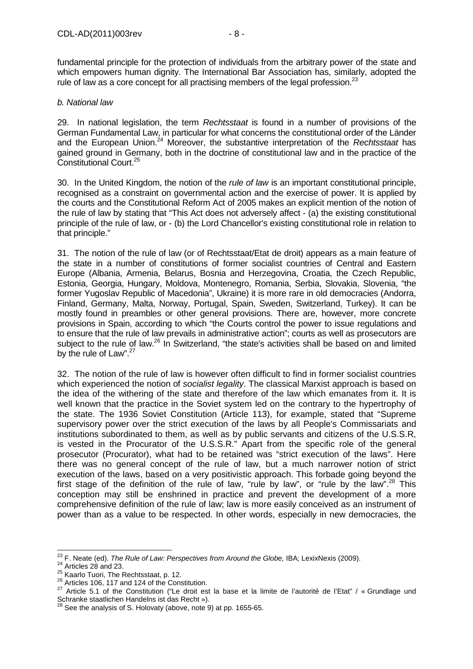fundamental principle for the protection of individuals from the arbitrary power of the state and which empowers human dignity. The International Bar Association has, similarly, adopted the rule of law as a core concept for all practising members of the legal profession. $^{23}$ 

#### b. National law

29. In national legislation, the term Rechtsstaat is found in a number of provisions of the German Fundamental Law, in particular for what concerns the constitutional order of the Länder and the European Union.<sup>24</sup> Moreover, the substantive interpretation of the Rechtsstaat has gained ground in Germany, both in the doctrine of constitutional law and in the practice of the Constitutional Court.<sup>25</sup>

30. In the United Kingdom, the notion of the *rule of law* is an important constitutional principle, recognised as a constraint on governmental action and the exercise of power. It is applied by the courts and the Constitutional Reform Act of 2005 makes an explicit mention of the notion of the rule of law by stating that "This Act does not adversely affect - (a) the existing constitutional principle of the rule of law, or - (b) the Lord Chancellor's existing constitutional role in relation to that principle."

31. The notion of the rule of law (or of Rechtsstaat/Etat de droit) appears as a main feature of the state in a number of constitutions of former socialist countries of Central and Eastern Europe (Albania, Armenia, Belarus, Bosnia and Herzegovina, Croatia, the Czech Republic, Estonia, Georgia, Hungary, Moldova, Montenegro, Romania, Serbia, Slovakia, Slovenia, "the former Yugoslav Republic of Macedonia", Ukraine) it is more rare in old democracies (Andorra, Finland, Germany, Malta, Norway, Portugal, Spain, Sweden, Switzerland, Turkey). It can be mostly found in preambles or other general provisions. There are, however, more concrete provisions in Spain, according to which "the Courts control the power to issue regulations and to ensure that the rule of law prevails in administrative action"; courts as well as prosecutors are subject to the rule of law.<sup>26</sup> In Switzerland, "the state's activities shall be based on and limited by the rule of Law".<sup>27</sup>

32. The notion of the rule of law is however often difficult to find in former socialist countries which experienced the notion of socialist legality. The classical Marxist approach is based on the idea of the withering of the state and therefore of the law which emanates from it. It is well known that the practice in the Soviet system led on the contrary to the hypertrophy of the state. The 1936 Soviet Constitution (Article 113), for example, stated that "Supreme supervisory power over the strict execution of the laws by all People's Commissariats and institutions subordinated to them, as well as by public servants and citizens of the U.S.S.R, is vested in the Procurator of the U.S.S.R." Apart from the specific role of the general prosecutor (Procurator), what had to be retained was "strict execution of the laws". Here there was no general concept of the rule of law, but a much narrower notion of strict execution of the laws, based on a very positivistic approach. This forbade going beyond the first stage of the definition of the rule of law, "rule by law", or "rule by the law".<sup>28</sup> This conception may still be enshrined in practice and prevent the development of a more comprehensive definition of the rule of law; law is more easily conceived as an instrument of power than as a value to be respected. In other words, especially in new democracies, the

 $\overline{a}$  $^{23}$  F. Neate (ed). The Rule of Law: Perspectives from Around the Globe, IBA; LexixNexis (2009).

 $24$  Articles 28 and 23.

<sup>25</sup> Kaarlo Tuori, The Rechtsstaat, p. 12.

<sup>&</sup>lt;sup>26</sup> Articles 106, 117 and 124 of the Constitution.

<sup>27</sup> Article 5.1 of the Constitution ("Le droit est la base et la limite de l'autorité de l'Etat" / « Grundlage und Schranke staatlichen Handelns ist das Recht »).

 $^{28}$  See the analysis of S. Holovaty (above, note 9) at pp. 1655-65.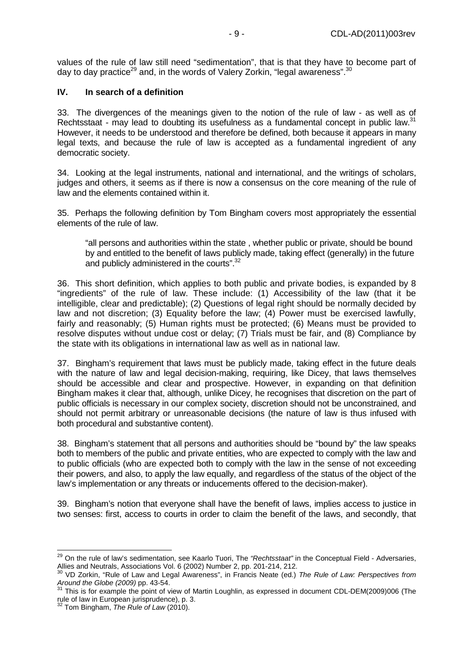values of the rule of law still need "sedimentation", that is that they have to become part of day to day practice<sup>29</sup> and, in the words of Valery Zorkin, "legal awareness".<sup>30</sup>

#### **IV. In search of a definition**

33. The divergences of the meanings given to the notion of the rule of law - as well as of Rechtsstaat - may lead to doubting its usefulness as a fundamental concept in public law.<sup>31</sup> However, it needs to be understood and therefore be defined, both because it appears in many legal texts, and because the rule of law is accepted as a fundamental ingredient of any democratic society.

34. Looking at the legal instruments, national and international, and the writings of scholars, judges and others, it seems as if there is now a consensus on the core meaning of the rule of law and the elements contained within it.

35. Perhaps the following definition by Tom Bingham covers most appropriately the essential elements of the rule of law.

"all persons and authorities within the state , whether public or private, should be bound by and entitled to the benefit of laws publicly made, taking effect (generally) in the future and publicly administered in the courts".<sup>32</sup>

36. This short definition, which applies to both public and private bodies, is expanded by 8 "ingredients" of the rule of law. These include: (1) Accessibility of the law (that it be intelligible, clear and predictable); (2) Questions of legal right should be normally decided by law and not discretion; (3) Equality before the law; (4) Power must be exercised lawfully, fairly and reasonably; (5) Human rights must be protected; (6) Means must be provided to resolve disputes without undue cost or delay; (7) Trials must be fair, and (8) Compliance by the state with its obligations in international law as well as in national law.

37. Bingham's requirement that laws must be publicly made, taking effect in the future deals with the nature of law and legal decision-making, requiring, like Dicey, that laws themselves should be accessible and clear and prospective. However, in expanding on that definition Bingham makes it clear that, although, unlike Dicey, he recognises that discretion on the part of public officials is necessary in our complex society, discretion should not be unconstrained, and should not permit arbitrary or unreasonable decisions (the nature of law is thus infused with both procedural and substantive content).

38. Bingham's statement that all persons and authorities should be "bound by" the law speaks both to members of the public and private entities, who are expected to comply with the law and to public officials (who are expected both to comply with the law in the sense of not exceeding their powers, and also, to apply the law equally, and regardless of the status of the object of the law's implementation or any threats or inducements offered to the decision-maker).

39. Bingham's notion that everyone shall have the benefit of laws, implies access to justice in two senses: first, access to courts in order to claim the benefit of the laws, and secondly, that

 $\overline{a}$ <sup>29</sup> On the rule of law's sedimentation, see Kaarlo Tuori, The "Rechtsstaat" in the Conceptual Field - Adversaries, Allies and Neutrals, Associations Vol. 6 (2002) Number 2, pp. 201-214, 212.

<sup>&</sup>lt;sup>30</sup> VD Zorkin, "Rule of Law and Legal Awareness", in Francis Neate (ed.) The Rule of Law: Perspectives from Around the Globe (2009) pp. 43-54.

 $31$  This is for example the point of view of Martin Loughlin, as expressed in document CDL-DEM(2009)006 (The rule of law in European jurisprudence), p. 3.

 $32$  Tom Bingham, The Rule of Law (2010).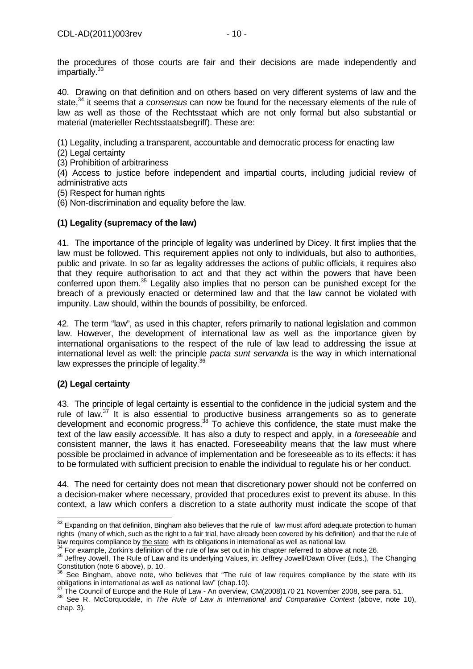40. Drawing on that definition and on others based on very different systems of law and the state. $34$  it seems that a consensus can now be found for the necessary elements of the rule of law as well as those of the Rechtsstaat which are not only formal but also substantial or material (materieller Rechtsstaatsbegriff). These are:

(1) Legality, including a transparent, accountable and democratic process for enacting law

(2) Legal certainty

(3) Prohibition of arbitrariness

(4) Access to justice before independent and impartial courts, including judicial review of administrative acts

(5) Respect for human rights

(6) Non-discrimination and equality before the law.

# **(1) Legality (supremacy of the law)**

41. The importance of the principle of legality was underlined by Dicey. It first implies that the law must be followed. This requirement applies not only to individuals, but also to authorities, public and private. In so far as legality addresses the actions of public officials, it requires also that they require authorisation to act and that they act within the powers that have been conferred upon them.<sup>35</sup> Legality also implies that no person can be punished except for the breach of a previously enacted or determined law and that the law cannot be violated with impunity. Law should, within the bounds of possibility, be enforced.

42. The term "law", as used in this chapter, refers primarily to national legislation and common law. However, the development of international law as well as the importance given by international organisations to the respect of the rule of law lead to addressing the issue at international level as well: the principle *pacta sunt servanda* is the way in which international law expresses the principle of legality.<sup>36</sup>

# **(2) Legal certainty**

43. The principle of legal certainty is essential to the confidence in the judicial system and the rule of law.<sup>37</sup> It is also essential to productive business arrangements so as to generate development and economic progress.<sup>38</sup> To achieve this confidence, the state must make the text of the law easily accessible. It has also a duty to respect and apply, in a foreseeable and consistent manner, the laws it has enacted. Foreseeability means that the law must where possible be proclaimed in advance of implementation and be foreseeable as to its effects: it has to be formulated with sufficient precision to enable the individual to regulate his or her conduct.

44. The need for certainty does not mean that discretionary power should not be conferred on a decision-maker where necessary, provided that procedures exist to prevent its abuse. In this context, a law which confers a discretion to a state authority must indicate the scope of that

 $\overline{\phantom{a}}$  $33$  Expanding on that definition, Bingham also believes that the rule of law must afford adequate protection to human rights (many of which, such as the right to a fair trial, have already been covered by his definition) and that the rule of law requires compliance by the state with its obligations in international as well as national law.

 $34$  For example, Zorkin's definition of the rule of law set out in his chapter referred to above at note 26.

<sup>&</sup>lt;sup>35</sup> Jeffrey Jowell, The Rule of Law and its underlying Values, in: Jeffrey Jowell/Dawn Oliver (Eds.), The Changing Constitution (note 6 above), p. 10.

 $36$  See Bingham, above note, who believes that "The rule of law requires compliance by the state with its obligations in international as well as national law" (chap.10).

<sup>37</sup> The Council of Europe and the Rule of Law - An overview, CM(2008)170 21 November 2008, see para. 51.

<sup>38</sup> See R. McCorquodale, in *The Rule of Law in International and Comparative Context* (above, note 10), chap. 3).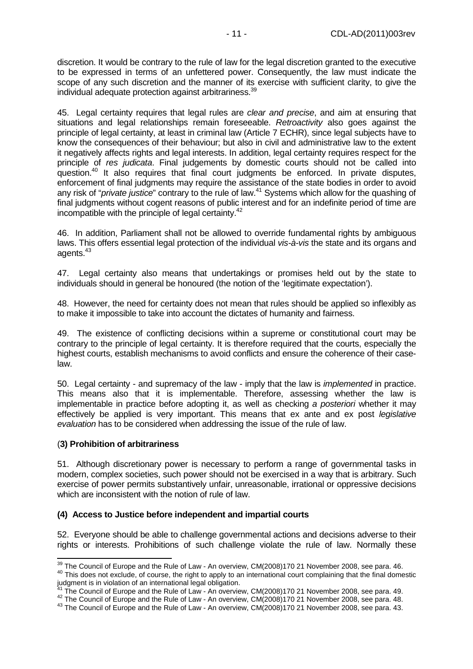discretion. It would be contrary to the rule of law for the legal discretion granted to the executive to be expressed in terms of an unfettered power. Consequently, the law must indicate the scope of any such discretion and the manner of its exercise with sufficient clarity, to give the individual adequate protection against arbitrariness.<sup>39</sup>

45. Legal certainty requires that legal rules are clear and precise, and aim at ensuring that situations and legal relationships remain foreseeable. Retroactivity also goes against the principle of legal certainty, at least in criminal law (Article 7 ECHR), since legal subjects have to know the consequences of their behaviour; but also in civil and administrative law to the extent it negatively affects rights and legal interests. In addition, legal certainty requires respect for the principle of res judicata. Final judgements by domestic courts should not be called into question.<sup>40</sup> It also requires that final court judgments be enforced. In private disputes, enforcement of final judgments may require the assistance of the state bodies in order to avoid any risk of "private justice" contrary to the rule of law.<sup>41</sup> Systems which allow for the quashing of final judgments without cogent reasons of public interest and for an indefinite period of time are incompatible with the principle of legal certainty.<sup>42</sup>

46. In addition, Parliament shall not be allowed to override fundamental rights by ambiguous laws. This offers essential legal protection of the individual vis-à-vis the state and its organs and agents.<sup>43</sup>

47. Legal certainty also means that undertakings or promises held out by the state to individuals should in general be honoured (the notion of the 'legitimate expectation').

48. However, the need for certainty does not mean that rules should be applied so inflexibly as to make it impossible to take into account the dictates of humanity and fairness.

49. The existence of conflicting decisions within a supreme or constitutional court may be contrary to the principle of legal certainty. It is therefore required that the courts, especially the highest courts, establish mechanisms to avoid conflicts and ensure the coherence of their caselaw.

50. Legal certainty - and supremacy of the law - imply that the law is implemented in practice. This means also that it is implementable. Therefore, assessing whether the law is implementable in practice before adopting it, as well as checking a posteriori whether it may effectively be applied is very important. This means that ex ante and ex post legislative evaluation has to be considered when addressing the issue of the rule of law.

#### (**3) Prohibition of arbitrariness**

 $\overline{\phantom{a}}$ 

51. Although discretionary power is necessary to perform a range of governmental tasks in modern, complex societies, such power should not be exercised in a way that is arbitrary. Such exercise of power permits substantively unfair, unreasonable, irrational or oppressive decisions which are inconsistent with the notion of rule of law.

#### **(4) Access to Justice before independent and impartial courts**

52. Everyone should be able to challenge governmental actions and decisions adverse to their rights or interests. Prohibitions of such challenge violate the rule of law. Normally these

 $^{39}$  The Council of Europe and the Rule of Law - An overview, CM(2008)170 21 November 2008, see para. 46.

<sup>&</sup>lt;sup>40</sup> This does not exclude, of course, the right to apply to an international court complaining that the final domestic judgment is in violation of an international legal obligation.

 $41$  The Council of Europe and the Rule of Law - An overview, CM(2008)170 21 November 2008, see para. 49.

 $^{42}$  The Council of Europe and the Rule of Law - An overview, CM(2008)170 21 November 2008, see para. 48.

<sup>43</sup> The Council of Europe and the Rule of Law - An overview, CM(2008)170 21 November 2008, see para. 43.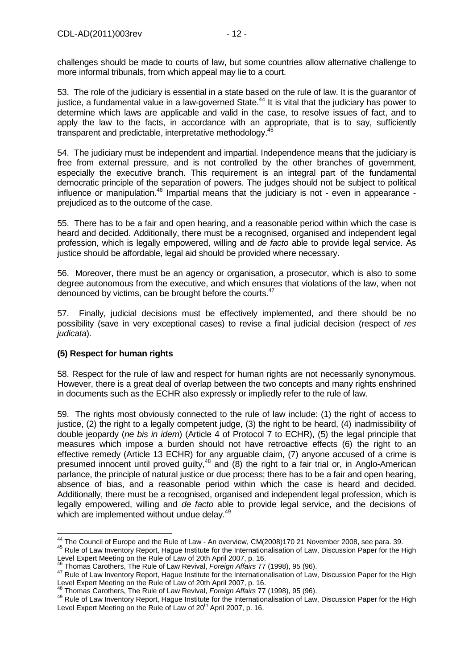challenges should be made to courts of law, but some countries allow alternative challenge to more informal tribunals, from which appeal may lie to a court.

53. The role of the judiciary is essential in a state based on the rule of law. It is the guarantor of justice, a fundamental value in a law-governed State.<sup>44</sup> It is vital that the judiciary has power to determine which laws are applicable and valid in the case, to resolve issues of fact, and to apply the law to the facts, in accordance with an appropriate, that is to say, sufficiently transparent and predictable, interpretative methodology.<sup>4</sup>

54. The judiciary must be independent and impartial. Independence means that the judiciary is free from external pressure, and is not controlled by the other branches of government, especially the executive branch. This requirement is an integral part of the fundamental democratic principle of the separation of powers. The judges should not be subject to political influence or manipulation.<sup>46</sup> Impartial means that the judiciary is not - even in appearance prejudiced as to the outcome of the case.

55. There has to be a fair and open hearing, and a reasonable period within which the case is heard and decided. Additionally, there must be a recognised, organised and independent legal profession, which is legally empowered, willing and de facto able to provide legal service. As justice should be affordable, legal aid should be provided where necessary.

56. Moreover, there must be an agency or organisation, a prosecutor, which is also to some degree autonomous from the executive, and which ensures that violations of the law, when not denounced by victims, can be brought before the courts.<sup>47</sup>

57. Finally, judicial decisions must be effectively implemented, and there should be no possibility (save in very exceptional cases) to revise a final judicial decision (respect of res judicata).

# **(5) Respect for human rights**

 $\overline{a}$ 

58. Respect for the rule of law and respect for human rights are not necessarily synonymous. However, there is a great deal of overlap between the two concepts and many rights enshrined in documents such as the ECHR also expressly or impliedly refer to the rule of law.

59. The rights most obviously connected to the rule of law include: (1) the right of access to justice, (2) the right to a legally competent judge, (3) the right to be heard, (4) inadmissibility of double jeopardy (ne bis in idem) (Article 4 of Protocol 7 to ECHR), (5) the legal principle that measures which impose a burden should not have retroactive effects (6) the right to an effective remedy (Article 13 ECHR) for any arguable claim, (7) anyone accused of a crime is presumed innocent until proved guilty, $48$  and (8) the right to a fair trial or, in Anglo-American parlance, the principle of natural justice or due process; there has to be a fair and open hearing, absence of bias, and a reasonable period within which the case is heard and decided. Additionally, there must be a recognised, organised and independent legal profession, which is legally empowered, willing and de facto able to provide legal service, and the decisions of which are implemented without undue delay.<sup>49</sup>

 $^{44}$  The Council of Europe and the Rule of Law - An overview, CM(2008)170 21 November 2008, see para. 39.

<sup>&</sup>lt;sup>45</sup> Rule of Law Inventory Report, Hague Institute for the Internationalisation of Law, Discussion Paper for the High Level Expert Meeting on the Rule of Law of 20th April 2007, p. 16.<br>46 There is 2007, where the Rule of Law of 20th April 2007, p. 16.

Thomas Carothers, The Rule of Law Revival, Foreign Affairs 77 (1998), 95 (96).

<sup>47</sup> Rule of Law Inventory Report, Hague Institute for the Internationalisation of Law, Discussion Paper for the High Level Expert Meeting on the Rule of Law of 20th April 2007, p. 16.<br>48 The Rule of Law of 20th April 2007, p. 16.

Thomas Carothers, The Rule of Law Revival, Foreign Affairs 77 (1998), 95 (96).

<sup>49</sup> Rule of Law Inventory Report, Hague Institute for the Internationalisation of Law, Discussion Paper for the High Level Expert Meeting on the Rule of Law of  $20<sup>th</sup>$  April 2007, p. 16.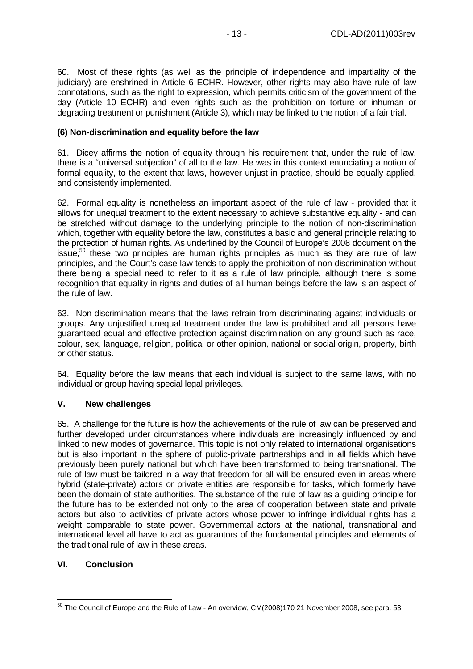60. Most of these rights (as well as the principle of independence and impartiality of the judiciary) are enshrined in Article 6 ECHR. However, other rights may also have rule of law connotations, such as the right to expression, which permits criticism of the government of the day (Article 10 ECHR) and even rights such as the prohibition on torture or inhuman or degrading treatment or punishment (Article 3), which may be linked to the notion of a fair trial.

#### **(6) Non-discrimination and equality before the law**

61. Dicey affirms the notion of equality through his requirement that, under the rule of law, there is a "universal subjection" of all to the law. He was in this context enunciating a notion of formal equality, to the extent that laws, however unjust in practice, should be equally applied, and consistently implemented.

62. Formal equality is nonetheless an important aspect of the rule of law - provided that it allows for unequal treatment to the extent necessary to achieve substantive equality - and can be stretched without damage to the underlying principle to the notion of non-discrimination which, together with equality before the law, constitutes a basic and general principle relating to the protection of human rights. As underlined by the Council of Europe's 2008 document on the issue,<sup>50</sup> these two principles are human rights principles as much as they are rule of law principles, and the Court's case-law tends to apply the prohibition of non-discrimination without there being a special need to refer to it as a rule of law principle, although there is some recognition that equality in rights and duties of all human beings before the law is an aspect of the rule of law.

63. Non-discrimination means that the laws refrain from discriminating against individuals or groups. Any unjustified unequal treatment under the law is prohibited and all persons have guaranteed equal and effective protection against discrimination on any ground such as race, colour, sex, language, religion, political or other opinion, national or social origin, property, birth or other status.

64. Equality before the law means that each individual is subject to the same laws, with no individual or group having special legal privileges.

#### **V. New challenges**

65. A challenge for the future is how the achievements of the rule of law can be preserved and further developed under circumstances where individuals are increasingly influenced by and linked to new modes of governance. This topic is not only related to international organisations but is also important in the sphere of public-private partnerships and in all fields which have previously been purely national but which have been transformed to being transnational. The rule of law must be tailored in a way that freedom for all will be ensured even in areas where hybrid (state-private) actors or private entities are responsible for tasks, which formerly have been the domain of state authorities. The substance of the rule of law as a guiding principle for the future has to be extended not only to the area of cooperation between state and private actors but also to activities of private actors whose power to infringe individual rights has a weight comparable to state power. Governmental actors at the national, transnational and international level all have to act as guarantors of the fundamental principles and elements of the traditional rule of law in these areas.

#### **VI. Conclusion**

 $\overline{a}$  $^{50}$  The Council of Europe and the Rule of Law - An overview, CM(2008)170 21 November 2008, see para. 53.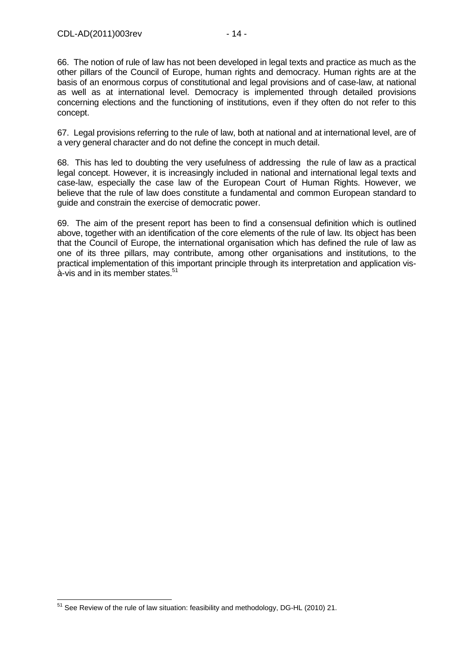66. The notion of rule of law has not been developed in legal texts and practice as much as the other pillars of the Council of Europe, human rights and democracy. Human rights are at the basis of an enormous corpus of constitutional and legal provisions and of case-law, at national as well as at international level. Democracy is implemented through detailed provisions concerning elections and the functioning of institutions, even if they often do not refer to this concept.

67. Legal provisions referring to the rule of law, both at national and at international level, are of a very general character and do not define the concept in much detail.

68. This has led to doubting the very usefulness of addressing the rule of law as a practical legal concept. However, it is increasingly included in national and international legal texts and case-law, especially the case law of the European Court of Human Rights. However, we believe that the rule of law does constitute a fundamental and common European standard to guide and constrain the exercise of democratic power.

69. The aim of the present report has been to find a consensual definition which is outlined above, together with an identification of the core elements of the rule of law. Its object has been that the Council of Europe, the international organisation which has defined the rule of law as one of its three pillars, may contribute, among other organisations and institutions, to the practical implementation of this important principle through its interpretation and application vis $a$ -vis and in its member states. $51$ 

 $\overline{a}$  $51$  See Review of the rule of law situation: feasibility and methodology, DG-HL (2010) 21.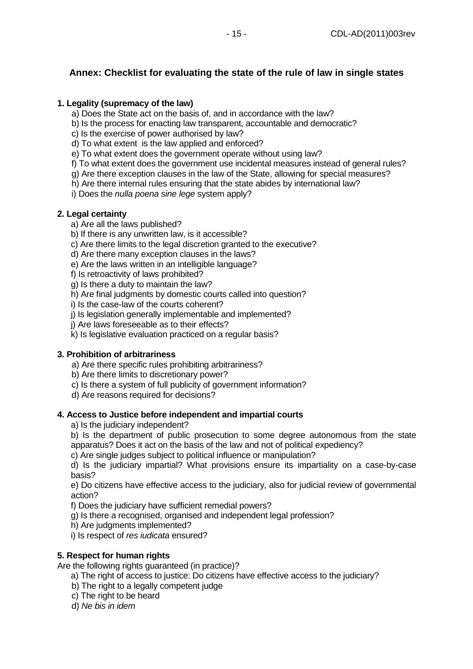# **Annex: Checklist for evaluating the state of the rule of law in single states**

### **1. Legality (supremacy of the law)**

- a) Does the State act on the basis of, and in accordance with the law?
- b) Is the process for enacting law transparent, accountable and democratic?
- c) Is the exercise of power authorised by law?
- d) To what extent is the law applied and enforced?
- e) To what extent does the government operate without using law?
- f) To what extent does the government use incidental measures instead of general rules?
- g) Are there exception clauses in the law of the State, allowing for special measures?
- h) Are there internal rules ensuring that the state abides by international law?
- i) Does the *nulla poena sine lege* system apply?

### **2. Legal certainty**

- a) Are all the laws published?
- b) If there is any unwritten law, is it accessible?
- c) Are there limits to the legal discretion granted to the executive?
- d) Are there many exception clauses in the laws?
- e) Are the laws written in an intelligible language?
- f) Is retroactivity of laws prohibited?
- g) Is there a duty to maintain the law?
- h) Are final judgments by domestic courts called into question?
- i) Is the case-law of the courts coherent?
- j) Is legislation generally implementable and implemented?
- j) Are laws foreseeable as to their effects?
- k) Is legislative evaluation practiced on a regular basis?

#### **3. Prohibition of arbitrariness**

- a) Are there specific rules prohibiting arbitrariness?
- b) Are there limits to discretionary power?
- c) Is there a system of full publicity of government information?
- d) Are reasons required for decisions?

#### **4. Access to Justice before independent and impartial courts**

- a) Is the judiciary independent?
- b) Is the department of public prosecution to some degree autonomous from the state apparatus? Does it act on the basis of the law and not of political expediency?
- c) Are single judges subject to political influence or manipulation?

d) Is the judiciary impartial? What provisions ensure its impartiality on a case-by-case basis?

e) Do citizens have effective access to the judiciary, also for judicial review of governmental action?

f) Does the judiciary have sufficient remedial powers?

g) Is there a recognised, organised and independent legal profession?

- h) Are judgments implemented?
- i) Is respect of res *judicata* ensured?

# **5. Respect for human rights**

Are the following rights guaranteed (in practice)?

- a) The right of access to justice: Do citizens have effective access to the judiciary?
- b) The right to a legally competent judge
- c) The right to be heard
- d) Ne bis in idem